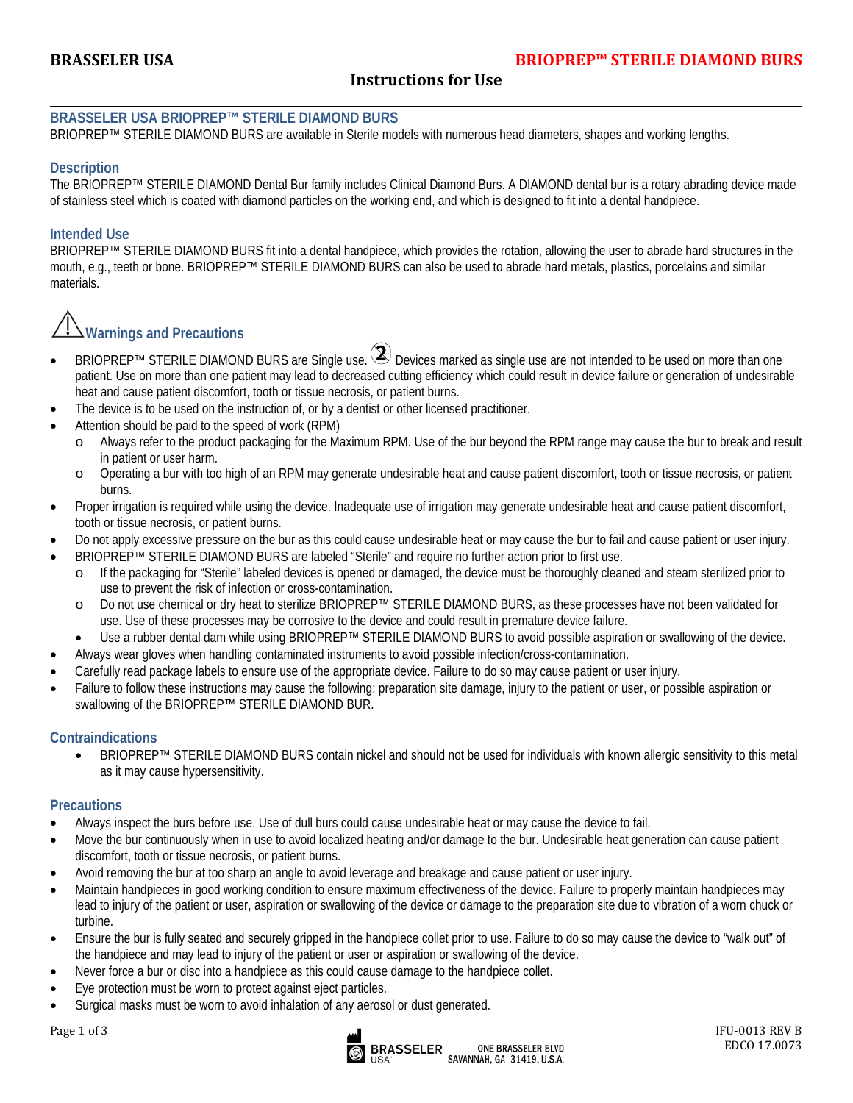### **Instructions for Use**

#### **BRASSELER USA BRIOPREP™ STERILE DIAMOND BURS**

BRIOPREP™ STERILE DIAMOND BURS are available in Sterile models with numerous head diameters, shapes and working lengths.

#### **Description**

The BRIOPREP™ STERILE DIAMOND Dental Bur family includes Clinical Diamond Burs. A DIAMOND dental bur is a rotary abrading device made of stainless steel which is coated with diamond particles on the working end, and which is designed to fit into a dental handpiece.

#### **Intended Use**

BRIOPREP™ STERILE DIAMOND BURS fit into a dental handpiece, which provides the rotation, allowing the user to abrade hard structures in the mouth, e.g., teeth or bone. BRIOPREP™ STERILE DIAMOND BURS can also be used to abrade hard metals, plastics, porcelains and similar materials.

# **Warnings and Precautions**

- BRIOPREP<sup>TM</sup> STERILE DIAMOND BURS are Single use.  $\mathbf{Q}$  Devices marked as single use are not intended to be used on more than one patient. Use on more than one patient may lead to decreased cutting efficiency which could result in device failure or generation of undesirable heat and cause patient discomfort, tooth or tissue necrosis, or patient burns.
- The device is to be used on the instruction of, or by a dentist or other licensed practitioner.
- Attention should be paid to the speed of work (RPM)
	- o Always refer to the product packaging for the Maximum RPM. Use of the bur beyond the RPM range may cause the bur to break and result in patient or user harm.
	- o Operating a bur with too high of an RPM may generate undesirable heat and cause patient discomfort, tooth or tissue necrosis, or patient burns.
- Proper irrigation is required while using the device. Inadequate use of irrigation may generate undesirable heat and cause patient discomfort, tooth or tissue necrosis, or patient burns.
- Do not apply excessive pressure on the bur as this could cause undesirable heat or may cause the bur to fail and cause patient or user injury.
- BRIOPREP™ STERILE DIAMOND BURS are labeled "Sterile" and require no further action prior to first use.
	- o If the packaging for "Sterile" labeled devices is opened or damaged, the device must be thoroughly cleaned and steam sterilized prior to use to prevent the risk of infection or cross-contamination.
	- o Do not use chemical or dry heat to sterilize BRIOPREP™ STERILE DIAMOND BURS, as these processes have not been validated for use. Use of these processes may be corrosive to the device and could result in premature device failure.
- Use a rubber dental dam while using BRIOPREP™ STERILE DIAMOND BURS to avoid possible aspiration or swallowing of the device.
- Always wear gloves when handling contaminated instruments to avoid possible infection/cross-contamination.
- Carefully read package labels to ensure use of the appropriate device. Failure to do so may cause patient or user injury.
- Failure to follow these instructions may cause the following: preparation site damage, injury to the patient or user, or possible aspiration or swallowing of the BRIOPREP™ STERILE DIAMOND BUR.

#### **Contraindications**

• BRIOPREP™ STERILE DIAMOND BURS contain nickel and should not be used for individuals with known allergic sensitivity to this metal as it may cause hypersensitivity.

#### **Precautions**

- Always inspect the burs before use. Use of dull burs could cause undesirable heat or may cause the device to fail.
- Move the bur continuously when in use to avoid localized heating and/or damage to the bur. Undesirable heat generation can cause patient discomfort, tooth or tissue necrosis, or patient burns.
- Avoid removing the bur at too sharp an angle to avoid leverage and breakage and cause patient or user injury.
- Maintain handpieces in good working condition to ensure maximum effectiveness of the device. Failure to properly maintain handpieces may lead to injury of the patient or user, aspiration or swallowing of the device or damage to the preparation site due to vibration of a worn chuck or turbine.
- Ensure the bur is fully seated and securely gripped in the handpiece collet prior to use. Failure to do so may cause the device to "walk out" of the handpiece and may lead to injury of the patient or user or aspiration or swallowing of the device.
- Never force a bur or disc into a handpiece as this could cause damage to the handpiece collet.
- Eye protection must be worn to protect against eject particles.
- Surgical masks must be worn to avoid inhalation of any aerosol or dust generated.

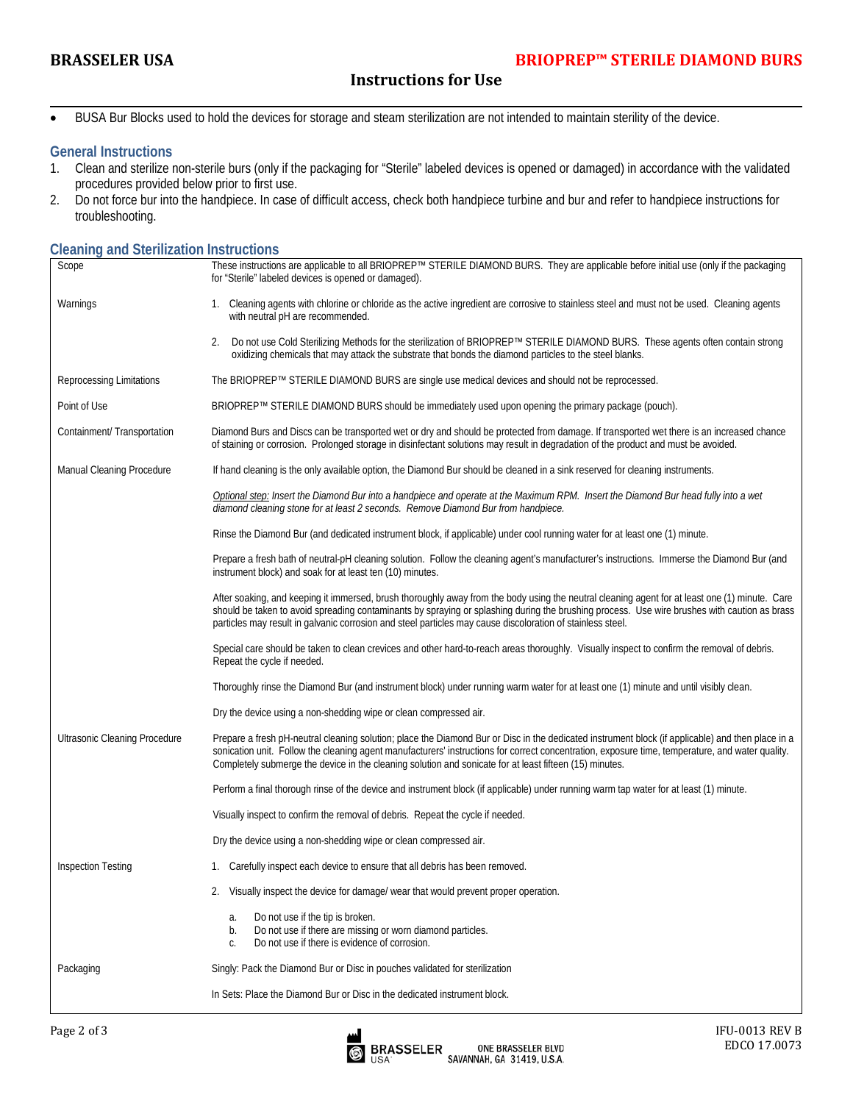## **Instructions for Use**

• BUSA Bur Blocks used to hold the devices for storage and steam sterilization are not intended to maintain sterility of the device.

#### **General Instructions**

- 1. Clean and sterilize non-sterile burs (only if the packaging for "Sterile" labeled devices is opened or damaged) in accordance with the validated procedures provided below prior to first use.
- 2. Do not force bur into the handpiece. In case of difficult access, check both handpiece turbine and bur and refer to handpiece instructions for troubleshooting.

#### **Cleaning and Sterilization Instructions**

| Scope                         | These instructions are applicable to all BRIOPREP™ STERILE DIAMOND BURS. They are applicable before initial use (only if the packaging<br>for "Sterile" labeled devices is opened or damaged).                                                                                                                                                                                                                   |  |  |
|-------------------------------|------------------------------------------------------------------------------------------------------------------------------------------------------------------------------------------------------------------------------------------------------------------------------------------------------------------------------------------------------------------------------------------------------------------|--|--|
| Warnings                      | 1. Cleaning agents with chlorine or chloride as the active ingredient are corrosive to stainless steel and must not be used. Cleaning agents<br>with neutral pH are recommended.                                                                                                                                                                                                                                 |  |  |
|                               | Do not use Cold Sterilizing Methods for the sterilization of BRIOPREP™ STERILE DIAMOND BURS. These agents often contain strong<br>2.<br>oxidizing chemicals that may attack the substrate that bonds the diamond particles to the steel blanks.                                                                                                                                                                  |  |  |
| Reprocessing Limitations      | The BRIOPREP™ STERILE DIAMOND BURS are single use medical devices and should not be reprocessed.                                                                                                                                                                                                                                                                                                                 |  |  |
| Point of Use                  | BRIOPREP™ STERILE DIAMOND BURS should be immediately used upon opening the primary package (pouch).                                                                                                                                                                                                                                                                                                              |  |  |
| Containment/ Transportation   | Diamond Burs and Discs can be transported wet or dry and should be protected from damage. If transported wet there is an increased chance<br>of staining or corrosion. Prolonged storage in disinfectant solutions may result in degradation of the product and must be avoided.                                                                                                                                 |  |  |
| Manual Cleaning Procedure     | If hand cleaning is the only available option, the Diamond Bur should be cleaned in a sink reserved for cleaning instruments.                                                                                                                                                                                                                                                                                    |  |  |
|                               | Optional step: Insert the Diamond Bur into a handpiece and operate at the Maximum RPM. Insert the Diamond Bur head fully into a wet<br>diamond cleaning stone for at least 2 seconds. Remove Diamond Bur from handpiece.                                                                                                                                                                                         |  |  |
|                               | Rinse the Diamond Bur (and dedicated instrument block, if applicable) under cool running water for at least one (1) minute.                                                                                                                                                                                                                                                                                      |  |  |
|                               | Prepare a fresh bath of neutral-pH cleaning solution. Follow the cleaning agent's manufacturer's instructions. Immerse the Diamond Bur (and<br>instrument block) and soak for at least ten (10) minutes.                                                                                                                                                                                                         |  |  |
|                               | After soaking, and keeping it immersed, brush thoroughly away from the body using the neutral cleaning agent for at least one (1) minute. Care<br>should be taken to avoid spreading contaminants by spraying or splashing during the brushing process. Use wire brushes with caution as brass<br>particles may result in galvanic corrosion and steel particles may cause discoloration of stainless steel.     |  |  |
|                               | Special care should be taken to clean crevices and other hard-to-reach areas thoroughly. Visually inspect to confirm the removal of debris.<br>Repeat the cycle if needed.                                                                                                                                                                                                                                       |  |  |
|                               | Thoroughly rinse the Diamond Bur (and instrument block) under running warm water for at least one (1) minute and until visibly clean.                                                                                                                                                                                                                                                                            |  |  |
|                               | Dry the device using a non-shedding wipe or clean compressed air.                                                                                                                                                                                                                                                                                                                                                |  |  |
| Ultrasonic Cleaning Procedure | Prepare a fresh pH-neutral cleaning solution; place the Diamond Bur or Disc in the dedicated instrument block (if applicable) and then place in a<br>sonication unit. Follow the cleaning agent manufacturers' instructions for correct concentration, exposure time, temperature, and water quality.<br>Completely submerge the device in the cleaning solution and sonicate for at least fifteen (15) minutes. |  |  |
|                               | Perform a final thorough rinse of the device and instrument block (if applicable) under running warm tap water for at least (1) minute.                                                                                                                                                                                                                                                                          |  |  |
|                               | Visually inspect to confirm the removal of debris. Repeat the cycle if needed.                                                                                                                                                                                                                                                                                                                                   |  |  |
|                               | Dry the device using a non-shedding wipe or clean compressed air.                                                                                                                                                                                                                                                                                                                                                |  |  |
| <b>Inspection Testing</b>     | 1. Carefully inspect each device to ensure that all debris has been removed.                                                                                                                                                                                                                                                                                                                                     |  |  |
|                               | 2. Visually inspect the device for damage/ wear that would prevent proper operation.                                                                                                                                                                                                                                                                                                                             |  |  |
|                               | Do not use if the tip is broken.<br>a.<br>Do not use if there are missing or worn diamond particles.<br>b.<br>Do not use if there is evidence of corrosion.<br>C.                                                                                                                                                                                                                                                |  |  |
| Packaging                     | Singly: Pack the Diamond Bur or Disc in pouches validated for sterilization                                                                                                                                                                                                                                                                                                                                      |  |  |
|                               | In Sets: Place the Diamond Bur or Disc in the dedicated instrument block.                                                                                                                                                                                                                                                                                                                                        |  |  |